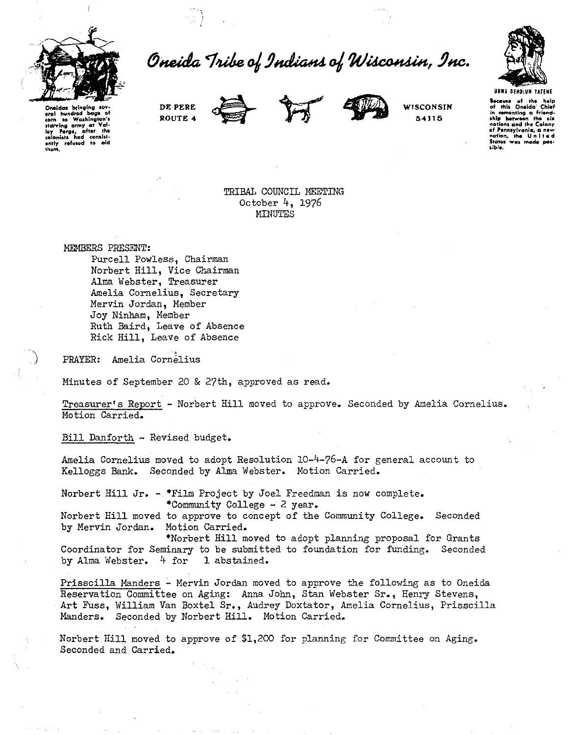

Oneida Tribe of Indians of Wisconsin, Inc.



Onoldes bring **oral hundred bags**<br>corn to Washington ltarving army at Val-<br>loy Forge, after the<br>colonists had consist<sub>:</sub> **ontly refuwd to old them.** 

**DE PERE ROUTE 4** 





**WISCONSIN 54115** 

**Because** of the help<br>of this Oneida' Chief **of this Oneida' Chief**<br>In comenting a friend-<br>ship between the six<br>nations and the Colony t:<br>of Pennsylvania,<br>nation, the Uni **State• wa1 mad. pot· 1ible.** 

TRIBAL COUNCIL MEETING October 4, 1976 MINUTES

MEMBERS PRESENT:

Purcell Powless, Chairman Norbert Hill, Vice Chairman Alma Webster, Treasurer Amelia Cornelius, Secretary Mervin Jordan, Member Joy Ninham, Member Ruth Baird, Leave of Absence Rick Hill, Leave of Absence

PRAYER: Amelia Cornelius

Minutes of September 20 & 27th, approved as read.

Treasurer's Report - Norbert Hill moved to approve. Seconded by Amelia Cornelius. Motion Carried.

Bill Danforth - Revised budget.

Amelia Cornelius moved to adopt Resolution 10-4-76-A for general account to Kelloggs Bank. Seconded by Alma Webster. Motion Carried.

Norbert Hill Jr. - \*Film Project by Joel Freedman is now complete. \*Community College - 2 year.

Norbert Hill moved to approve to concept of the Community College. Seconded by Mervin Jordan. Motion Carried.

\*Norbert Hill moved to adopt planning proposal for Grants Coordinator for Seminary to be submitted to foundation for funding. Seconded by Alma Webster. 4 for 1 abstained.

Prisscilla Manders - Mervin Jordan moved to approve the following as to Oneida Reservation Committee on Aging: Anna John, Stan Webster Sr., Henry Stevens, Art Fuss, William Van Boxtel Sr., Audrey Doxtater, Amelia Cornelius, Prisscilla Manders. Seconded by Norbert Hill. Motion Carried.

Norbert Hill moved to approve of \$1,20C for planning for Committee on Aging. Seconded and Carried.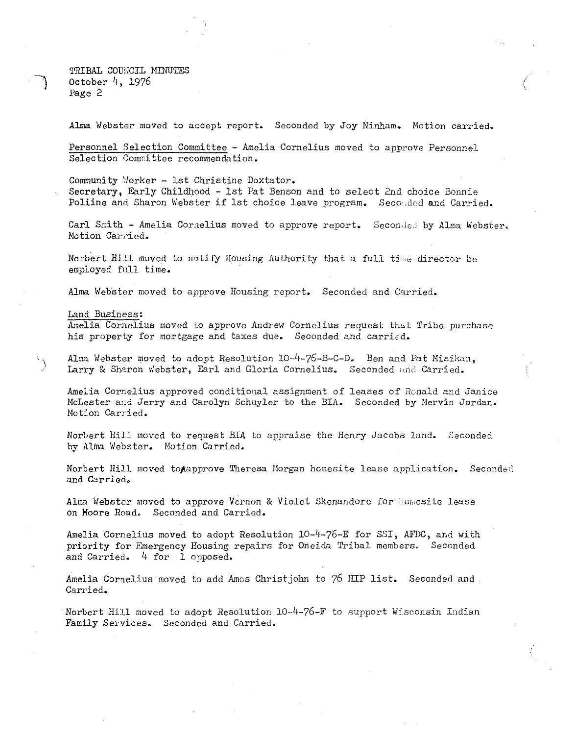TRIBAL COUNCIL MINUTES October 4, 1976 Page 2

Alma Webster moved to accept report. Seconded by Joy Ninham. Motion carried.

Personnel Selection Committee - Amelia Cornelius moved to *approve* Personnel Selection Committee recommendation.

Community Worker - lst Christine Doxtator.

Secretary, Early Childhood - lst Pat Benson and to select 2nd choice Bonnie Poliine and Sharon Webster if lst choice leave program. Seconded and Carried.

Carl Smith - Amelia Cornelius moved to approve report. Seconded by Alma Webster. Motion Carried.

Norbert Hill moved to notify Housing Authority that a full time director be employed full time.

Alma Webster moved to approve Housing report. Seconded and Carried.

land Business:

 $\sum_{i=1}^{n}$ 

Amelia Cornelius moved to approve Andrew Cornelius request that Tribe purchase his *property* for mortgage and taxes due. Seconded and carried.

Alma Webster moved to adopt Resolution  $10<sup>-1</sup>+76-8-C-D$ . Ben and Pat Misikan, Larry & Sharon webster, Earl and Gloria Cornelius. Seconded and Carried.

Amelia Cornelius approved conditional assignment of leases of Ronald and Janice McLester and Jerry and Carolyn Schuyler to the BIA. Seconded by Mervin Jordan. Motion Carried.

Norbert Hill moved to request BIA to appraise the Henry Jacobs land. Seconded by Alma Webster. Hotion Carried.

Norbert Hill moved togapprove Theresa Morgan homesite lease application. Seconded and Carried.

Alma Webster moved to approve Vernon & Violet Skenandore for homesite lease on Moore Road. Seconded and Carried.

Amelia Cornelius moved to adopt Resolution 10-4-76-E for SSI, AFDC, and with priority for Emergency Housing repairs for Oneida Tribal members. Seconded and Carried. 4 for 1 opposed.

Amelia Cornelius moved to add Amos Christjohn to 76 HIP list. Seconded and Carried.

Norbert Hill moved to adopt Resolution 10-4-76-F to support Wisconsin Indian Family Services. Seconded and Carried.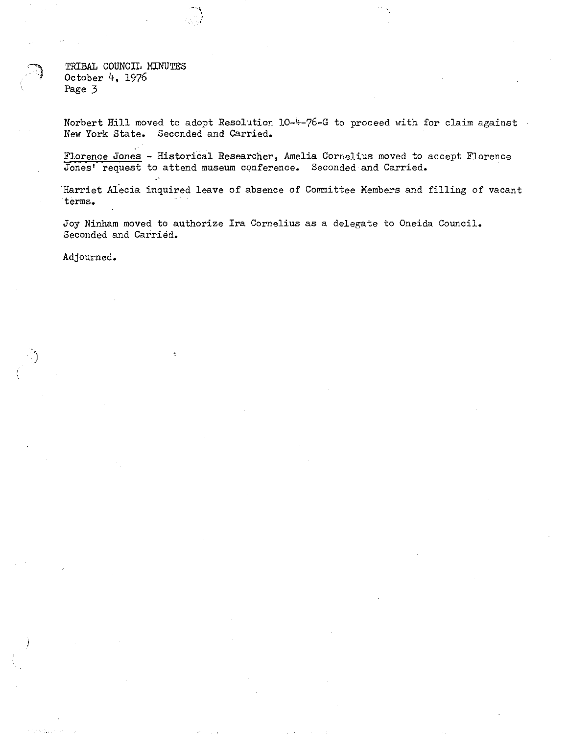TRIBAL COUNCIL MINUTES October 4, 1976 Page 3

Norbert Hill moved to adopt Resolution 10-4-76-G to proceed with for claim against New York State. Seconded and Carried.

Florence Jones - Historical Researcher, Amelia Cornelius moved to accept Florence Jones' request to attend museum conference. Seconded and Carried.

Harriet Alecia inquired leave of absence of Committee Members and filling of vacant terms.

Joy Ninham moved to authorize Ira Cornelius as a delegate to Oneida Council. Seconded and Carried.

Adjourned.

)